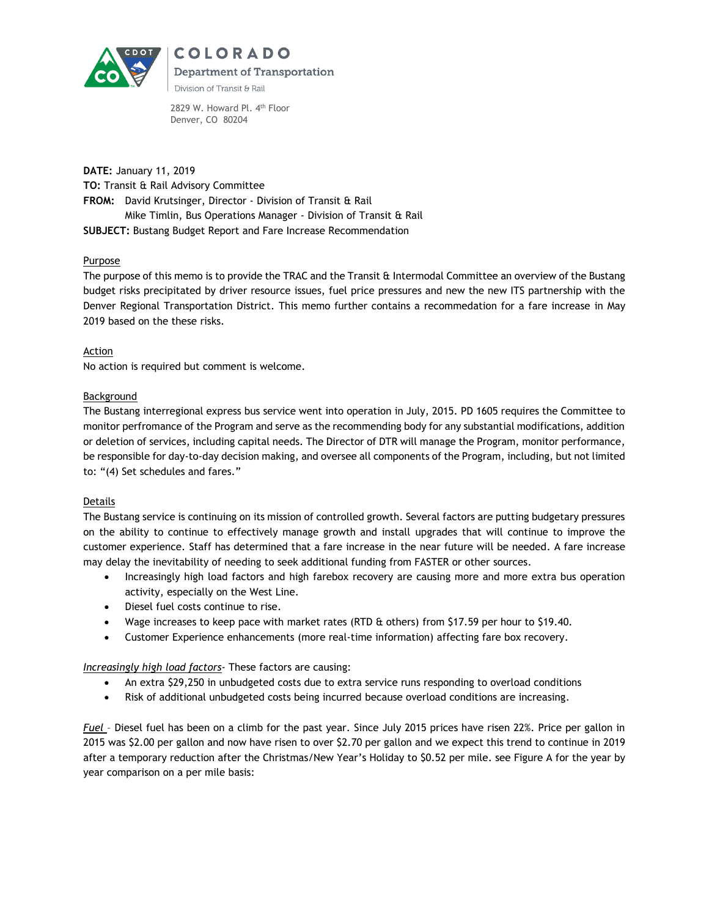

COLORADO **Department of Transportation** Division of Transit & Rail

2829 W. Howard Pl. 4<sup>th</sup> Floor Denver, CO 80204

**DATE:** January 11, 2019 **TO:** Transit & Rail Advisory Committee **FROM:** David Krutsinger, Director - Division of Transit & Rail Mike Timlin, Bus Operations Manager - Division of Transit & Rail **SUBJECT:** Bustang Budget Report and Fare Increase Recommendation

## Purpose

The purpose of this memo is to provide the TRAC and the Transit & Intermodal Committee an overview of the Bustang budget risks precipitated by driver resource issues, fuel price pressures and new the new ITS partnership with the Denver Regional Transportation District. This memo further contains a recommedation for a fare increase in May 2019 based on the these risks.

**Action** No action is required but comment is welcome.

## Background

The Bustang interregional express bus service went into operation in July, 2015. PD 1605 requires the Committee to monitor perfromance of the Program and serve as the recommending body for any substantial modifications, addition or deletion of services, including capital needs. The Director of DTR will manage the Program, monitor performance, be responsible for day-to-day decision making, and oversee all components of the Program, including, but not limited to: "(4) Set schedules and fares."

## **Details**

The Bustang service is continuing on its mission of controlled growth. Several factors are putting budgetary pressures on the ability to continue to effectively manage growth and install upgrades that will continue to improve the customer experience. Staff has determined that a fare increase in the near future will be needed. A fare increase may delay the inevitability of needing to seek additional funding from FASTER or other sources.

- Increasingly high load factors and high farebox recovery are causing more and more extra bus operation activity, especially on the West Line.
- Diesel fuel costs continue to rise.
- Wage increases to keep pace with market rates (RTD & others) from \$17.59 per hour to \$19.40.
- Customer Experience enhancements (more real-time information) affecting fare box recovery.

*Increasingly high load factors*- These factors are causing:

- An extra \$29,250 in unbudgeted costs due to extra service runs responding to overload conditions
- Risk of additional unbudgeted costs being incurred because overload conditions are increasing.

*Fuel* – Diesel fuel has been on a climb for the past year. Since July 2015 prices have risen 22%. Price per gallon in 2015 was \$2.00 per gallon and now have risen to over \$2.70 per gallon and we expect this trend to continue in 2019 after a temporary reduction after the Christmas/New Year's Holiday to \$0.52 per mile. see Figure A for the year by year comparison on a per mile basis: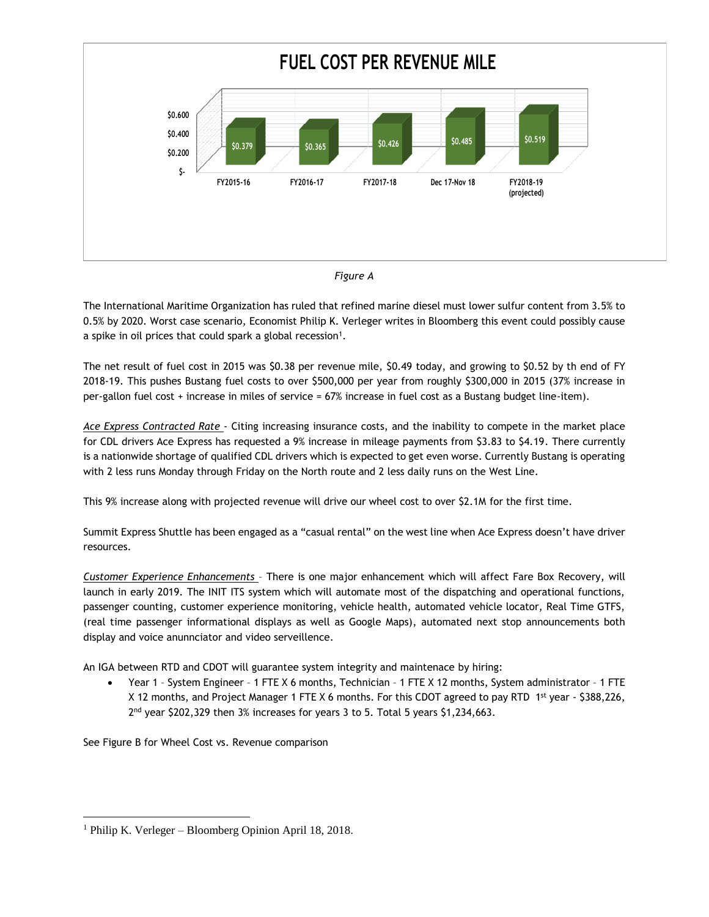



The International Maritime Organization has ruled that refined marine diesel must lower sulfur content from 3.5% to 0.5% by 2020. Worst case scenario, Economist Philip K. Verleger writes in Bloomberg this event could possibly cause a spike in oil prices that could spark a global recession<sup>1</sup>.

The net result of fuel cost in 2015 was \$0.38 per revenue mile, \$0.49 today, and growing to \$0.52 by th end of FY 2018-19. This pushes Bustang fuel costs to over \$500,000 per year from roughly \$300,000 in 2015 (37% increase in per-gallon fuel cost + increase in miles of service = 67% increase in fuel cost as a Bustang budget line-item).

*Ace Express Contracted Rate* - Citing increasing insurance costs, and the inability to compete in the market place for CDL drivers Ace Express has requested a 9% increase in mileage payments from \$3.83 to \$4.19. There currently is a nationwide shortage of qualified CDL drivers which is expected to get even worse. Currently Bustang is operating with 2 less runs Monday through Friday on the North route and 2 less daily runs on the West Line.

This 9% increase along with projected revenue will drive our wheel cost to over \$2.1M for the first time.

Summit Express Shuttle has been engaged as a "casual rental" on the west line when Ace Express doesn't have driver resources.

*Customer Experience Enhancements* – There is one major enhancement which will affect Fare Box Recovery, will launch in early 2019. The INIT ITS system which will automate most of the dispatching and operational functions, passenger counting, customer experience monitoring, vehicle health, automated vehicle locator, Real Time GTFS, (real time passenger informational displays as well as Google Maps), automated next stop announcements both display and voice anunnciator and video serveillence.

An IGA between RTD and CDOT will guarantee system integrity and maintenace by hiring:

 Year 1 – System Engineer – 1 FTE X 6 months, Technician – 1 FTE X 12 months, System administrator – 1 FTE X 12 months, and Project Manager 1 FTE X 6 months. For this CDOT agreed to pay RTD 1<sup>st</sup> year - \$388,226, 2 nd year \$202,329 then 3% increases for years 3 to 5. Total 5 years \$1,234,663.

See Figure B for Wheel Cost vs. Revenue comparison

 $\overline{a}$ 

<sup>1</sup> Philip K. Verleger – Bloomberg Opinion April 18, 2018.